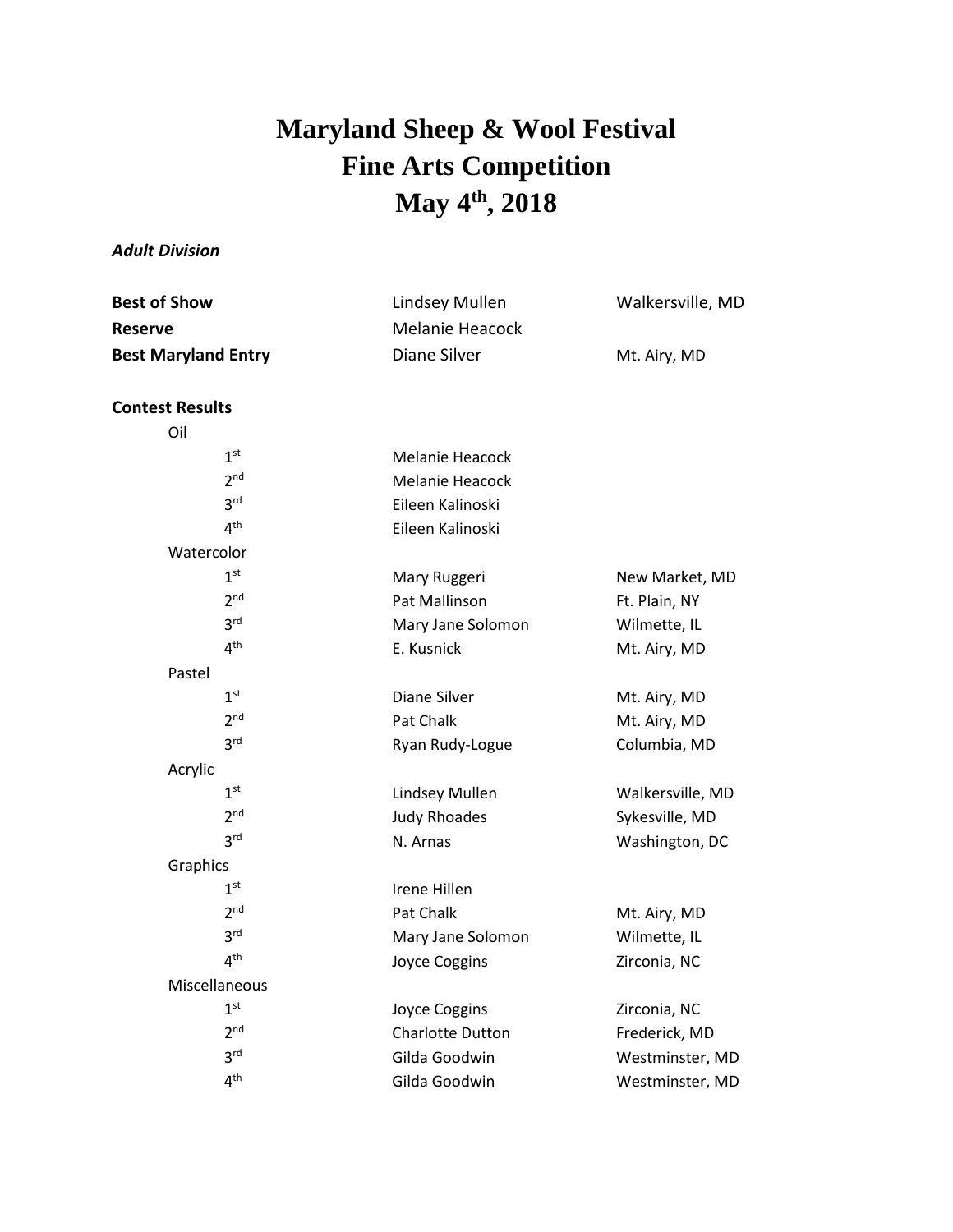## **Maryland Sheep & Wool Festival Fine Arts Competition May 4 th , 2018**

## *Adult Division*

| Lindsey Mullen  | Walkersville, MD |
|-----------------|------------------|
| Melanie Heacock |                  |
| Diane Silver    | Mt. Airy, MD     |
|                 |                  |

## **Contest Results**

| Oil        |                 |                         |                  |
|------------|-----------------|-------------------------|------------------|
|            | 1 <sup>st</sup> | <b>Melanie Heacock</b>  |                  |
|            | 2 <sup>nd</sup> | Melanie Heacock         |                  |
|            | 3 <sup>rd</sup> | Eileen Kalinoski        |                  |
|            | 4 <sup>th</sup> | Eileen Kalinoski        |                  |
| Watercolor |                 |                         |                  |
|            | 1 <sup>st</sup> | Mary Ruggeri            | New Market, MD   |
|            | 2 <sup>nd</sup> | <b>Pat Mallinson</b>    | Ft. Plain, NY    |
|            | 3 <sup>rd</sup> | Mary Jane Solomon       | Wilmette, IL     |
|            | 4 <sup>th</sup> | E. Kusnick              | Mt. Airy, MD     |
| Pastel     |                 |                         |                  |
|            | 1 <sup>st</sup> | Diane Silver            | Mt. Airy, MD     |
|            | 2 <sup>nd</sup> | Pat Chalk               | Mt. Airy, MD     |
|            | 3 <sup>rd</sup> | Ryan Rudy-Logue         | Columbia, MD     |
| Acrylic    |                 |                         |                  |
|            | 1 <sup>st</sup> | Lindsey Mullen          | Walkersville, MD |
|            | 2 <sub>nd</sub> | <b>Judy Rhoades</b>     | Sykesville, MD   |
|            | 3 <sup>rd</sup> | N. Arnas                | Washington, DC   |
| Graphics   |                 |                         |                  |
|            | 1 <sup>st</sup> | Irene Hillen            |                  |
|            | 2 <sub>nd</sub> | Pat Chalk               | Mt. Airy, MD     |
|            | 3 <sup>rd</sup> | Mary Jane Solomon       | Wilmette, IL     |
|            | 4 <sup>th</sup> | Joyce Coggins           | Zirconia, NC     |
|            | Miscellaneous   |                         |                  |
|            | 1 <sup>st</sup> | Joyce Coggins           | Zirconia, NC     |
|            | 2 <sup>nd</sup> | <b>Charlotte Dutton</b> | Frederick, MD    |
|            | 3 <sup>rd</sup> | Gilda Goodwin           | Westminster, MD  |
|            | 4 <sup>th</sup> | Gilda Goodwin           | Westminster, MD  |